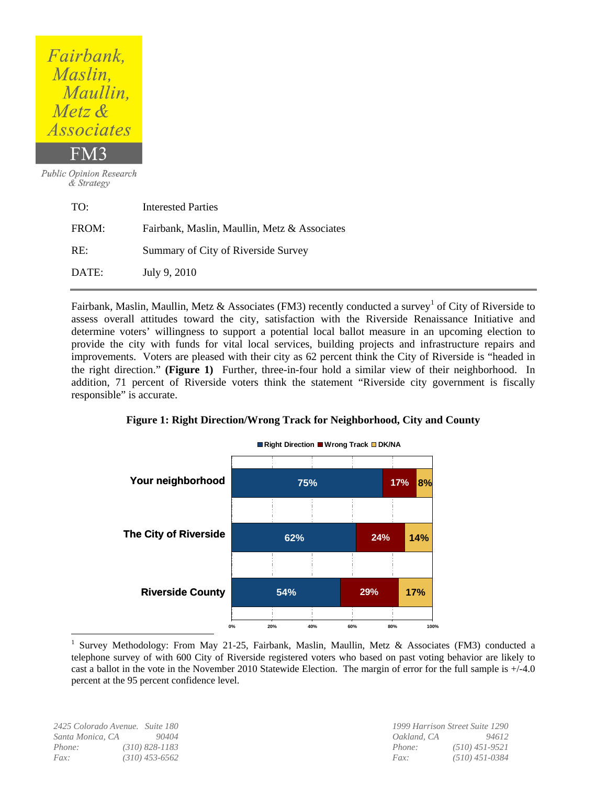# Fairbank, Maslin, Maullin, Metz & *Associates*

**Public Opinion Research** & Strategy

| TO:   | Interested Parties                           |
|-------|----------------------------------------------|
| FROM: | Fairbank, Maslin, Maullin, Metz & Associates |
| RE:   | Summary of City of Riverside Survey          |
| DATE: | July 9, 2010                                 |

Fairbank, Maslin, Maullin, Metz & Associates (FM3) recently conducted a survey<sup>1</sup> of City of Riverside to assess overall attitudes toward the city, satisfaction with the Riverside Renaissance Initiative and determine voters' willingness to support a potential local ballot measure in an upcoming election to provide the city with funds for vital local services, building projects and infrastructure repairs and improvements. Voters are pleased with their city as 62 percent think the City of Riverside is "headed in the right direction." **(Figure 1)** Further, three-in-four hold a similar view of their neighborhood. In addition, 71 percent of Riverside voters think the statement "Riverside city government is fiscally responsible" is accurate.



### **Figure 1: Right Direction/Wrong Track for Neighborhood, City and County**

*Santa Monica, CA 90404 Oakland, CA 94612 Phone: (310) 828-1183 Phone: (510) 451-9521 Fax: (310) 453-6562 Fax: (510) 451-0384*

 $\overline{a}$ 

*2425 Colorado Avenue. Suite 180 1999 Harrison Street Suite 1290* 

<sup>1</sup> Survey Methodology: From May 21-25, Fairbank, Maslin, Maullin, Metz & Associates (FM3) conducted a telephone survey of with 600 City of Riverside registered voters who based on past voting behavior are likely to cast a ballot in the vote in the November 2010 Statewide Election. The margin of error for the full sample is +/-4.0 percent at the 95 percent confidence level.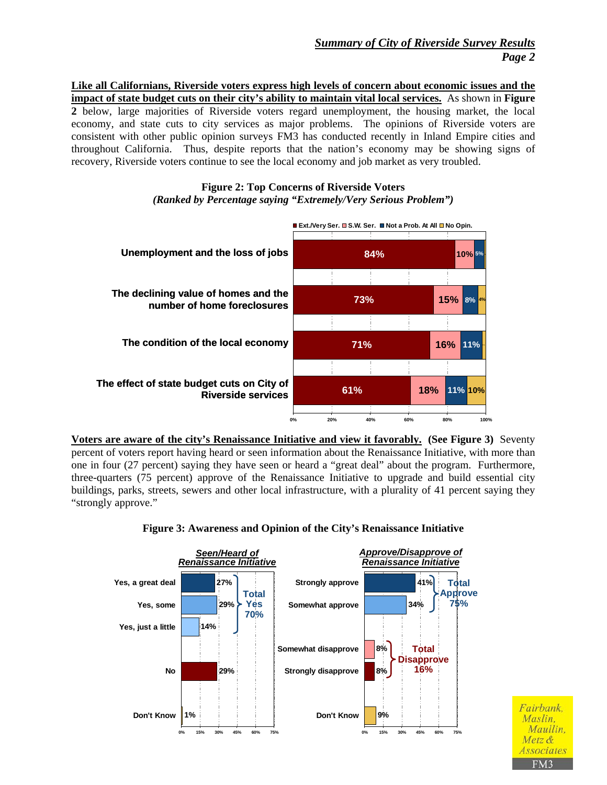# *Summary of City of Riverside Survey Results Page 2*

**Like all Californians, Riverside voters express high levels of concern about economic issues and the impact of state budget cuts on their city's ability to maintain vital local services.** As shown in **Figure 2** below, large majorities of Riverside voters regard unemployment, the housing market, the local economy, and state cuts to city services as major problems. The opinions of Riverside voters are consistent with other public opinion surveys FM3 has conducted recently in Inland Empire cities and throughout California. Thus, despite reports that the nation's economy may be showing signs of recovery, Riverside voters continue to see the local economy and job market as very troubled.

### **Figure 2: Top Concerns of Riverside Voters**  *(Ranked by Percentage saying "Extremely/Very Serious Problem")*



**Voters are aware of the city's Renaissance Initiative and view it favorably. (See Figure 3)** Seventy percent of voters report having heard or seen information about the Renaissance Initiative, with more than one in four (27 percent) saying they have seen or heard a "great deal" about the program. Furthermore, three-quarters (75 percent) approve of the Renaissance Initiative to upgrade and build essential city buildings, parks, streets, sewers and other local infrastructure, with a plurality of 41 percent saying they "strongly approve."



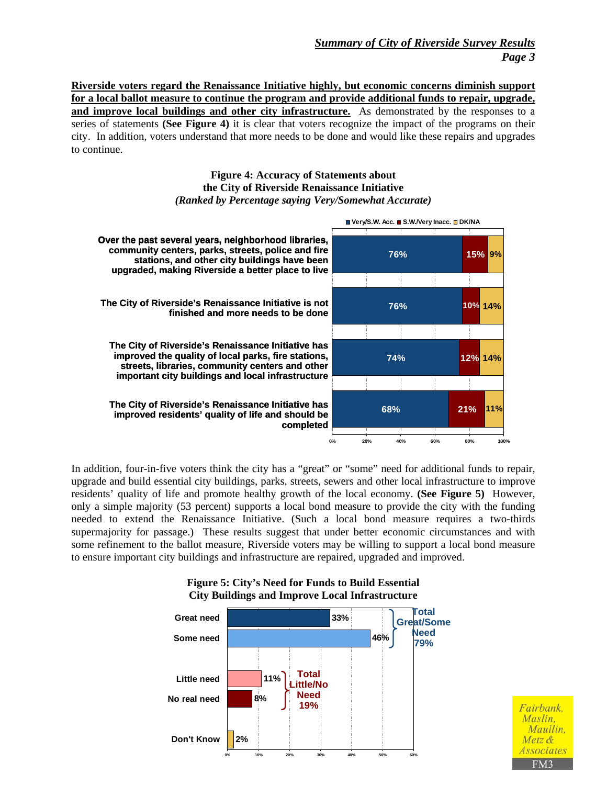**Riverside voters regard the Renaissance Initiative highly, but economic concerns diminish support for a local ballot measure to continue the program and provide additional funds to repair, upgrade,**  and improve local buildings and other city infrastructure. As demonstrated by the responses to a series of statements **(See Figure 4)** it is clear that voters recognize the impact of the programs on their city. In addition, voters understand that more needs to be done and would like these repairs and upgrades to continue.

#### **Figure 4: Accuracy of Statements about the City of Riverside Renaissance Initiative**  *(Ranked by Percentage saying Very/Somewhat Accurate)*

![](_page_2_Figure_3.jpeg)

In addition, four-in-five voters think the city has a "great" or "some" need for additional funds to repair, upgrade and build essential city buildings, parks, streets, sewers and other local infrastructure to improve residents' quality of life and promote healthy growth of the local economy. **(See Figure 5)** However, only a simple majority (53 percent) supports a local bond measure to provide the city with the funding needed to extend the Renaissance Initiative. (Such a local bond measure requires a two-thirds supermajority for passage.) These results suggest that under better economic circumstances and with some refinement to the ballot measure, Riverside voters may be willing to support a local bond measure to ensure important city buildings and infrastructure are repaired, upgraded and improved.

![](_page_2_Figure_5.jpeg)

Fairbank, Maslin, Maullin, Metz & *Associate*. FM3

#### **Figure 5: City's Need for Funds to Build Essential City Buildings and Improve Local Infrastructure**